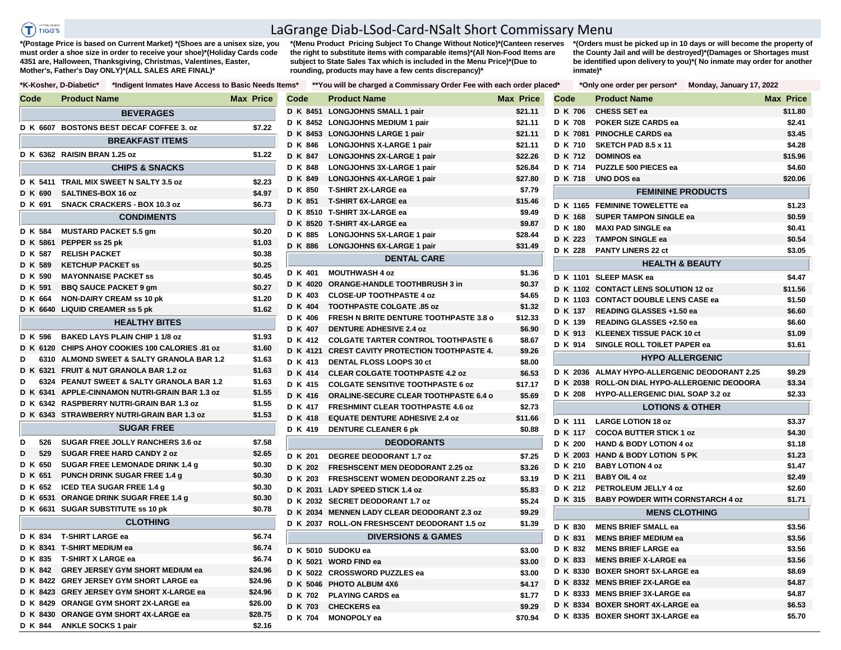.<br>Tanah menjadi  $T$ ) riggs

## LaGrange Diab-LSod-Card-NSalt Short Commissary Menu

**\*(Postage Price is based on Current Market) \*(Shoes are a unisex size, you must order a shoe size in order to receive your shoe)\*(Holiday Cards code 4351 are, Halloween, Thanksgiving, Christmas, Valentines, Easter, Mother's, Father's Day ONLY)\*(ALL SALES ARE FINAL)\***

**\*(Menu Product Pricing Subject To Change Without Notice)\*(Canteen reserves the right to substitute items with comparable items)\*(All Non-Food Items are subject to State Sales Tax which is included in the Menu Price)\*(Due to rounding, products may have a few cents discrepancy)\*** 

**\*(Orders must be picked up in 10 days or will become the property of the County Jail and will be destroyed)\*(Damages or Shortages must be identified upon delivery to you)\*( No inmate may order for another inmate)\***

| Code                | <b>Product Name</b>                             | <b>Max Price</b> | Code    | <b>Product Name</b>                            | <b>Max Price</b> | Code           | <b>Product Name</b>                                                  | <b>Max Price</b> |
|---------------------|-------------------------------------------------|------------------|---------|------------------------------------------------|------------------|----------------|----------------------------------------------------------------------|------------------|
|                     | <b>BEVERAGES</b>                                |                  |         | D K 8451 LONGJOHNS SMALL 1 pair                | \$21.11          | D K 706        | CHESS SET ea                                                         | \$11.80          |
|                     | D K 6607 BOSTONS BEST DECAF COFFEE 3. oz        | \$7.22           |         | D K 8452 LONGJOHNS MEDIUM 1 pair               | \$21.11          | D K 708        | POKER SIZE CARDS ea                                                  | \$2.41           |
|                     | <b>BREAKFAST ITEMS</b>                          |                  |         | D K 8453 LONGJOHNS LARGE 1 pair                | \$21.11          | D K 7081       | <b>PINOCHLE CARDS ea</b>                                             | \$3.45           |
|                     |                                                 |                  | D K 846 | <b>LONGJOHNS X-LARGE 1 pair</b>                | \$21.11          | D K 710        | SKETCH PAD 8.5 x 11                                                  | \$4.28           |
|                     | D K 6362 RAISIN BRAN 1.25 oz                    | \$1.22           | D K 847 | <b>LONGJOHNS 2X-LARGE 1 pair</b>               | \$22.26          | D K 712        | <b>DOMINOS ea</b>                                                    | \$15.96          |
|                     | <b>CHIPS &amp; SNACKS</b>                       |                  | D K 848 | <b>LONGJOHNS 3X-LARGE 1 pair</b>               | \$26.84          | <b>D</b> K 714 | <b>PUZZLE 500 PIECES ea</b>                                          | \$4.60           |
|                     | D K 5411 TRAIL MIX SWEET N SALTY 3.5 oz         | \$2.23           | D K 849 | <b>LONGJOHNS 4X-LARGE 1 pair</b>               | \$27.80          | D K 718        | UNO DOS ea                                                           | \$20.06          |
| D K 690             | <b>SALTINES-BOX 16 oz</b>                       | \$4.97           | D K 850 | T-SHIRT 2X-LARGE ea                            | \$7.79           |                | <b>FEMININE PRODUCTS</b>                                             |                  |
| D K 691             | <b>SNACK CRACKERS - BOX 10.3 oz</b>             | \$6.73           | D K 851 | <b>T-SHIRT 6X-LARGE ea</b>                     | \$15.46          |                | D K 1165 FEMININE TOWELETTE ea                                       | \$1.23           |
|                     | <b>CONDIMENTS</b>                               |                  |         | D K 8510 T-SHIRT 3X-LARGE ea                   | \$9.49           | D K 168        | <b>SUPER TAMPON SINGLE ea</b>                                        | \$0.59           |
|                     | <b>MUSTARD PACKET 5.5 gm</b>                    |                  |         | D K 8520 T-SHIRT 4X-LARGE ea                   | \$9.87           | D K 180        | <b>MAXI PAD SINGLE ea</b>                                            | \$0.41           |
| D K 584<br>D K 5861 |                                                 | \$0.20           | D K 885 | LONGJOHNS 5X-LARGE 1 pair                      | \$28.44          | D K 223        | <b>TAMPON SINGLE ea</b>                                              | \$0.54           |
|                     | PEPPER ss 25 pk                                 | \$1.03           | D K 886 | <b>LONGJOHNS 6X-LARGE 1 pair</b>               | \$31.49          | D K 228        | <b>PANTY LINERS 22 ct</b>                                            | \$3.05           |
| D K 587             | <b>RELISH PACKET</b>                            | \$0.38           |         | <b>DENTAL CARE</b>                             |                  |                | <b>HEALTH &amp; BEAUTY</b>                                           |                  |
| D K 589             | <b>KETCHUP PACKET SS</b>                        | \$0.25           | D K 401 | <b>MOUTHWASH 4 oz</b>                          | \$1.36           |                |                                                                      |                  |
| D K 590             | <b>MAYONNAISE PACKET SS</b>                     | \$0.45           |         | D K 4020 ORANGE-HANDLE TOOTHBRUSH 3 in         | \$0.37           |                | D K 1101 SLEEP MASK ea                                               | \$4.47           |
| D K 591             | <b>BBQ SAUCE PACKET 9 gm</b>                    | \$0.27           | D K 403 | <b>CLOSE-UP TOOTHPASTE 4 oz</b>                | \$4.65           |                | D K 1102 CONTACT LENS SOLUTION 12 oz                                 | \$11.56          |
| D K 664             | <b>NON-DAIRY CREAM ss 10 pk</b>                 | \$1,20           | D K 404 | <b>TOOTHPASTE COLGATE .85 oz</b>               | \$1.32           |                | D K 1103 CONTACT DOUBLE LENS CASE ea                                 | \$1.50           |
|                     | D K 6640 LIQUID CREAMER ss 5 pk                 | \$1.62           | D K 406 | <b>FRESH N BRITE DENTURE TOOTHPASTE 3.8 o</b>  | \$12.33          | D K 137        | READING GLASSES +1.50 ea                                             | \$6.60           |
|                     | <b>HEALTHY BITES</b>                            |                  | D K 407 | <b>DENTURE ADHESIVE 2.4 oz</b>                 | \$6.90           | D K 139        | READING GLASSES +2.50 ea                                             | \$6.60           |
| D K 596             | <b>BAKED LAYS PLAIN CHIP 1 1/8 oz</b>           | \$1.93           | D K 412 | <b>COLGATE TARTER CONTROL TOOTHPASTE 6</b>     | \$8.67           | D K 913        | KLEENEX TISSUE PACK 10 ct                                            | \$1.09           |
|                     | D K 6120 CHIPS AHOY COOKIES 100 CALORIES .81 oz | \$1.60           |         | D K 4121 CREST CAVITY PROTECTION TOOTHPASTE 4. | \$9.26           | D K 914        | SINGLE ROLL TOILET PAPER ea                                          | \$1.61           |
| D                   | 6310 ALMOND SWEET & SALTY GRANOLA BAR 1.2       | \$1.63           | D K 413 | DENTAL FLOSS LOOPS 30 ct                       | \$8.00           |                | <b>HYPO ALLERGENIC</b>                                               |                  |
|                     | D K 6321 FRUIT & NUT GRANOLA BAR 1.2 oz         | \$1.63           | D K 414 | <b>CLEAR COLGATE TOOTHPASTE 4.2 oz</b>         | \$6.53           |                | D K 2036 ALMAY HYPO-ALLERGENIC DEODORANT 2.25                        | \$9.29           |
| D                   | 6324 PEANUT SWEET & SALTY GRANOLA BAR 1.2       | \$1.63           | D K 415 | <b>COLGATE SENSITIVE TOOTHPASTE 6 oz</b>       | \$17.17          |                | D K 2038 ROLL-ON DIAL HYPO-ALLERGENIC DEODORA                        | \$3.34           |
|                     | D K 6341 APPLE-CINNAMON NUTRI-GRAIN BAR 1.3 oz  | \$1.55           | D K 416 | <b>ORALINE-SECURE CLEAR TOOTHPASTE 6.4 o</b>   | \$5.69           | D K 208        | <b>HYPO-ALLERGENIC DIAL SOAP 3.2 oz</b>                              | \$2.33           |
|                     | D K 6342 RASPBERRY NUTRI-GRAIN BAR 1.3 oz       | \$1.55           | D K 417 | <b>FRESHMINT CLEAR TOOTHPASTE 4.6 oz</b>       | \$2.73           |                | <b>LOTIONS &amp; OTHER</b>                                           |                  |
|                     | D K 6343 STRAWBERRY NUTRI-GRAIN BAR 1.3 oz      | \$1.53           | D K 418 | <b>EQUATE DENTURE ADHESIVE 2.4 oz</b>          | \$11.66          | D K 111        | <b>LARGE LOTION 18 oz</b>                                            | \$3.37           |
|                     | <b>SUGAR FREE</b>                               |                  | D K 419 | <b>DENTURE CLEANER 6 pk</b>                    | \$0.88           | D K 117        |                                                                      |                  |
| D<br>526            | <b>SUGAR FREE JOLLY RANCHERS 3.6 oz</b>         | \$7.58           |         | <b>DEODORANTS</b>                              |                  | D K 200        | <b>COCOA BUTTER STICK 1 oz</b><br><b>HAND &amp; BODY LOTION 4 oz</b> | \$4.30<br>\$1.18 |
| D<br>529            | <b>SUGAR FREE HARD CANDY 2 oz</b>               | \$2.65           |         |                                                |                  |                | D K 2003 HAND & BODY LOTION 5 PK                                     | \$1.23           |
| D K 650             | SUGAR FREE LEMONADE DRINK 1.4 g                 | \$0.30           | D K 201 | <b>DEGREE DEODORANT 1.7 oz</b>                 | \$7.25           | D K 210        | <b>BABY LOTION 4 oz</b>                                              | \$1.47           |
| D K 651             | <b>PUNCH DRINK SUGAR FREE 1.4 g</b>             | \$0.30           | D K 202 | <b>FRESHSCENT MEN DEODORANT 2.25 oz</b>        | \$3.26           | D K 211        | <b>BABY OIL 4 oz</b>                                                 | \$2.49           |
| D K 652             | <b>ICED TEA SUGAR FREE 1.4 g</b>                | \$0.30           | D K 203 | <b>FRESHSCENT WOMEN DEODORANT 2.25 oz</b>      | \$3.19           |                |                                                                      | \$2.60           |
|                     | D K 6531 ORANGE DRINK SUGAR FREE 1.4 g          | \$0.30           |         | D K 2031 LADY SPEED STICK 1.4 oz               | \$5.83           | D K 212        | PETROLEUM JELLY 4 oz                                                 |                  |
|                     | D K 6631 SUGAR SUBSTITUTE ss 10 pk              | \$0.78           |         | D K 2032 SECRET DEODORANT 1.7 oz               | \$5.24           | D K 315        | <b>BABY POWDER WITH CORNSTARCH 4 oz</b>                              | \$1.71           |
|                     |                                                 |                  |         | D K 2034 MENNEN LADY CLEAR DEODORANT 2.3 oz    | \$9.29           |                | <b>MENS CLOTHING</b>                                                 |                  |
|                     | <b>CLOTHING</b>                                 |                  |         | D K 2037 ROLL-ON FRESHSCENT DEODORANT 1.5 oz   | \$1.39           | D K 830        | <b>MENS BRIEF SMALL ea</b>                                           | \$3.56           |
| D K 834             | <b>T-SHIRT LARGE ea</b>                         | \$6.74           |         | <b>DIVERSIONS &amp; GAMES</b>                  |                  | D K 831        | <b>MENS BRIEF MEDIUM ea</b>                                          | \$3.56           |
|                     | D K 8341 T-SHIRT MEDIUM ea                      | \$6.74           |         | D K 5010 SUDOKU ea                             | \$3.00           | D K 832        | <b>MENS BRIEF LARGE ea</b>                                           | \$3.56           |
| D K 835             | <b>T-SHIRT X LARGE ea</b>                       | \$6.74           |         | D K 5021 WORD FIND ea                          | \$3.00           | D K 833        | <b>MENS BRIEF X-LARGE ea</b>                                         | \$3.56           |
| D K 842             | <b>GREY JERSEY GYM SHORT MEDIUM ea</b>          | \$24.96          |         | D K 5022 CROSSWORD PUZZLES ea                  | \$3.00           |                | D K 8330 BOXER SHORT 5X-LARGE ea                                     | \$8.69           |
|                     | D K 8422 GREY JERSEY GYM SHORT LARGE ea         | \$24.96          |         | D K 5046 PHOTO ALBUM 4X6                       | \$4.17           |                | D K 8332 MENS BRIEF 2X-LARGE ea                                      | \$4.87           |
|                     | D K 8423 GREY JERSEY GYM SHORT X-LARGE ea       | \$24.96          | D K 702 | <b>PLAYING CARDS ea</b>                        | \$1.77           |                | D K 8333 MENS BRIEF 3X-LARGE ea                                      | \$4.87           |
|                     | D K 8429 ORANGE GYM SHORT 2X-LARGE ea           | \$26.00          | D K 703 | <b>CHECKERS</b> ea                             | \$9.29           |                | D K 8334 BOXER SHORT 4X-LARGE ea                                     | \$6.53           |
|                     | D K 8430 ORANGE GYM SHORT 4X-LARGE ea           | \$28.75          |         | D K 704 MONOPOLY ea                            | \$70.94          |                | D K 8335 BOXER SHORT 3X-LARGE ea                                     | \$5.70           |
|                     | D K 844 ANKLE SOCKS 1 pair                      | \$2.16           |         |                                                |                  |                |                                                                      |                  |

|          | *K-Kosher, D-Diabetic*<br>*Indigent Inmates Have Access to Basic Needs Items* |                  |                | **You will be charged a Commissary Order Fee with each order plac |                  |
|----------|-------------------------------------------------------------------------------|------------------|----------------|-------------------------------------------------------------------|------------------|
| Code     | <b>Product Name</b>                                                           | <b>Max Price</b> | Code           | <b>Product Name</b>                                               | <b>Max Price</b> |
|          | <b>BEVERAGES</b>                                                              |                  |                | D K 8451 LONGJOHNS SMALL 1 pair                                   | \$21.11          |
|          | D K 6607 BOSTONS BEST DECAF COFFEE 3, oz                                      | \$7.22           |                | D K 8452 LONGJOHNS MEDIUM 1 pair                                  | \$21.11          |
|          |                                                                               |                  |                | D K 8453 LONGJOHNS LARGE 1 pair                                   | \$21.11          |
|          | <b>BREAKFAST ITEMS</b>                                                        |                  | D K 846        | <b>LONGJOHNS X-LARGE 1 pair</b>                                   | \$21.11          |
|          | D K 6362 RAISIN BRAN 1.25 oz                                                  | \$1.22           | D K 847        | <b>LONGJOHNS 2X-LARGE 1 pair</b>                                  | \$22.26          |
|          | <b>CHIPS &amp; SNACKS</b>                                                     |                  | D K 848        | LONGJOHNS 3X-LARGE 1 pair                                         | \$26.84          |
|          | D K 5411 TRAIL MIX SWEET N SALTY 3.5 oz                                       | \$2.23           | D K 849        | <b>LONGJOHNS 4X-LARGE 1 pair</b>                                  | \$27.80          |
| D K 690  | SALTINES-BOX 16 oz                                                            | \$4.97           | D K 850        | <b>T-SHIRT 2X-LARGE ea</b>                                        | \$7.79           |
| D K 691  | <b>SNACK CRACKERS - BOX 10.3 oz</b>                                           | \$6.73           | D K 851        | <b>T-SHIRT 6X-LARGE ea</b>                                        | \$15.46          |
|          | <b>CONDIMENTS</b>                                                             |                  |                | D K 8510 T-SHIRT 3X-LARGE ea                                      | \$9.49           |
|          |                                                                               |                  |                | D K 8520 T-SHIRT 4X-LARGE ea                                      | \$9.87           |
| D K 584  | <b>MUSTARD PACKET 5.5 gm</b>                                                  | \$0.20           | D K 885        | LONGJOHNS 5X-LARGE 1 pair                                         | \$28.44          |
| D K 587  | D K 5861 PEPPER ss 25 pk<br><b>RELISH PACKET</b>                              | \$1.03           | D K 886        | LONGJOHNS 6X-LARGE 1 pair                                         | \$31.49          |
| D K 589  | <b>KETCHUP PACKET SS</b>                                                      | \$0.38<br>\$0.25 |                | <b>DENTAL CARE</b>                                                |                  |
| D K 590  | <b>MAYONNAISE PACKET SS</b>                                                   | \$0.45           | D K 401        | <b>MOUTHWASH 4 oz</b>                                             | \$1.36           |
| D K 591  | <b>BBQ SAUCE PACKET 9 gm</b>                                                  | \$0.27           |                | D K 4020 ORANGE-HANDLE TOOTHBRUSH 3 in                            | \$0.37           |
| D K 664  | <b>NON-DAIRY CREAM ss 10 pk</b>                                               | \$1.20           | D K 403        | <b>CLOSE-UP TOOTHPASTE 4 oz</b>                                   | \$4.65           |
|          | D K 6640 LIQUID CREAMER ss 5 pk                                               | \$1.62           | D K 404        | <b>TOOTHPASTE COLGATE .85 oz</b>                                  | \$1.32           |
|          |                                                                               |                  | D K 406        | FRESH N BRITE DENTURE TOOTHPASTE 3.8 o                            | \$12.33          |
|          | <b>HEALTHY BITES</b>                                                          |                  | D K 407        | <b>DENTURE ADHESIVE 2.4 oz</b>                                    | \$6.90           |
| D K 596  | <b>BAKED LAYS PLAIN CHIP 1 1/8 oz</b>                                         | \$1.93           | D K 412        | <b>COLGATE TARTER CONTROL TOOTHPASTE 6</b>                        | \$8.67           |
|          | D K 6120 CHIPS AHOY COOKIES 100 CALORIES .81 oz                               | \$1.60           | D K 4121       | <b>CREST CAVITY PROTECTION TOOTHPASTE 4.</b>                      | \$9.26           |
| D        | 6310 ALMOND SWEET & SALTY GRANOLA BAR 1.2                                     | \$1.63           | D K 413        | <b>DENTAL FLOSS LOOPS 30 ct</b>                                   | \$8.00           |
|          | D K 6321 FRUIT & NUT GRANOLA BAR 1.2 oz                                       | \$1.63           | D K 414        | <b>CLEAR COLGATE TOOTHPASTE 4.2 oz</b>                            | \$6.53           |
| D        | 6324 PEANUT SWEET & SALTY GRANOLA BAR 1.2                                     | \$1.63           | D K 415        | <b>COLGATE SENSITIVE TOOTHPASTE 6 oz</b>                          | \$17.17          |
|          | D K 6341 APPLE-CINNAMON NUTRI-GRAIN BAR 1.3 oz                                | \$1.55           | D K 416        | <b>ORALINE-SECURE CLEAR TOOTHPASTE 6.4 o</b>                      | \$5.69           |
|          | D K 6342 RASPBERRY NUTRI-GRAIN BAR 1.3 oz                                     | \$1.55           | D K 417        | <b>FRESHMINT CLEAR TOOTHPASTE 4.6 oz</b>                          | \$2.73           |
|          | D K 6343 STRAWBERRY NUTRI-GRAIN BAR 1.3 oz                                    | \$1.53           | D K 418        | <b>EQUATE DENTURE ADHESIVE 2.4 oz</b>                             | \$11.66          |
|          | <b>SUGAR FREE</b>                                                             |                  | D K 419        | <b>DENTURE CLEANER 6 pk</b>                                       | \$0.88           |
| D<br>526 | <b>SUGAR FREE JOLLY RANCHERS 3.6 oz</b>                                       | \$7.58           |                | <b>DEODORANTS</b>                                                 |                  |
| D<br>529 | <b>SUGAR FREE HARD CANDY 2 oz</b>                                             | \$2.65           | D K 201        | <b>DEGREE DEODORANT 1.7 oz</b>                                    | \$7.25           |
| D K 650  | SUGAR FREE LEMONADE DRINK 1.4 g                                               | \$0.30           | D K 202        | <b>FRESHSCENT MEN DEODORANT 2.25 oz</b>                           | \$3.26           |
| D K 651  | <b>PUNCH DRINK SUGAR FREE 1.4 g</b>                                           | \$0.30           | D K 203        | <b>FRESHSCENT WOMEN DEODORANT 2.25 oz</b>                         | \$3.19           |
| D K 652  | <b>ICED TEA SUGAR FREE 1.4 g</b>                                              | \$0.30           |                | D K 2031 LADY SPEED STICK 1.4 oz                                  | \$5.83           |
|          | D K 6531 ORANGE DRINK SUGAR FREE 1.4 g                                        | \$0.30           |                | D K 2032 SECRET DEODORANT 1.7 oz                                  | \$5.24           |
|          | D K 6631 SUGAR SUBSTITUTE ss 10 pk                                            | \$0.78           |                | D K 2034 MENNEN LADY CLEAR DEODORANT 2.3 oz                       | \$9.29           |
|          | <b>CLOTHING</b>                                                               |                  |                | D K 2037 ROLL-ON FRESHSCENT DEODORANT 1.5 oz                      | \$1.39           |
| D K 834  | <b>T-SHIRT LARGE ea</b>                                                       | \$6.74           |                | <b>DIVERSIONS &amp; GAMES</b>                                     |                  |
|          | D K 8341 T-SHIRT MEDIUM ea                                                    | \$6.74           |                | D K 5010 SUDOKU ea                                                | \$3.00           |
| D K 835  | <b>T-SHIRT X LARGE ea</b>                                                     | \$6.74           |                | D K 5021 WORD FIND ea                                             | \$3.00           |
| D K 842  | <b>GREY JERSEY GYM SHORT MEDIUM ea</b>                                        | \$24.96          |                | D K 5022 CROSSWORD PUZZLES ea                                     | \$3.00           |
|          | D K 8422 GREY JERSEY GYM SHORT LARGE ea                                       | \$24.96          |                | D K 5046 PHOTO ALBUM 4X6                                          | \$4.17           |
|          | D K 8423 GREY JERSEY GYM SHORT X-LARGE ea                                     | \$24.96          | <b>DK702</b>   | <b>PLAYING CARDS ea</b>                                           | \$1.77           |
|          | D K 8429 ORANGE GYM SHORT 2X-LARGE ea                                         | \$26.00          | D K 703        | <b>CHECKERS</b> ea                                                | \$9.29           |
|          | D K 8430 ORANGE GYM SHORT 4X-LARGE ea                                         | \$28.75          | <b>D K 704</b> | <b>MONOPOLY</b> ea                                                | \$70.94          |
| D K 844  | <b>ANKLE SOCKS 1 pair</b>                                                     | \$2.16           |                |                                                                   |                  |

| ed* |                          |                |                                               |  |                  |  |  |  |  |  |
|-----|--------------------------|----------------|-----------------------------------------------|--|------------------|--|--|--|--|--|
|     | Code                     |                | <b>Product Name</b>                           |  | <b>Max Price</b> |  |  |  |  |  |
|     |                          | D K 706        | <b>CHESS SET ea</b>                           |  | \$11.80          |  |  |  |  |  |
|     |                          | <b>D K 708</b> | <b>POKER SIZE CARDS ea</b>                    |  | \$2.41           |  |  |  |  |  |
|     |                          |                | D K 7081 PINOCHLE CARDS ea                    |  | \$3.45           |  |  |  |  |  |
|     |                          | D K 710        | SKETCH PAD 8.5 x 11                           |  | \$4.28           |  |  |  |  |  |
|     |                          | D K 712        | <b>DOMINOS ea</b>                             |  | \$15.96          |  |  |  |  |  |
|     |                          | D K 714        | PUZZLE 500 PIECES ea                          |  | \$4.60           |  |  |  |  |  |
|     |                          | D K 718        | UNO DOS ea                                    |  | \$20.06          |  |  |  |  |  |
|     | <b>FEMININE PRODUCTS</b> |                |                                               |  |                  |  |  |  |  |  |
|     |                          | D K 1165       | <b>FEMININE TOWELETTE ea</b>                  |  | \$1.23           |  |  |  |  |  |
|     |                          | D K 168        | <b>SUPER TAMPON SINGLE ea</b>                 |  | \$0.59           |  |  |  |  |  |
|     |                          | D K 180        | <b>MAXI PAD SINGLE ea</b>                     |  | \$0.41           |  |  |  |  |  |
|     |                          | D K 223        | <b>TAMPON SINGLE ea</b>                       |  | \$0.54           |  |  |  |  |  |
|     |                          | D K 228        | <b>PANTY LINERS 22 ct</b>                     |  | \$3.05           |  |  |  |  |  |
|     |                          |                | <b>HEALTH &amp; BEAUTY</b>                    |  |                  |  |  |  |  |  |
|     |                          | D K 1101       | <b>SLEEP MASK ea</b>                          |  | \$4.47           |  |  |  |  |  |
|     |                          | D K 1102       | <b>CONTACT LENS SOLUTION 12 oz</b>            |  | \$11.56          |  |  |  |  |  |
|     |                          |                | D K 1103 CONTACT DOUBLE LENS CASE ea          |  | \$1.50           |  |  |  |  |  |
|     |                          | D K 137        | READING GLASSES +1.50 ea                      |  | \$6.60           |  |  |  |  |  |
|     |                          | D K 139        | READING GLASSES +2.50 ea                      |  | \$6.60           |  |  |  |  |  |
|     |                          | D K 913        | <b>KLEENEX TISSUE PACK 10 ct</b>              |  | \$1.09           |  |  |  |  |  |
|     |                          | D K 914        | <b>SINGLE ROLL TOILET PAPER ea</b>            |  | \$1.61           |  |  |  |  |  |
|     |                          |                | <b>HYPO ALLERGENIC</b>                        |  |                  |  |  |  |  |  |
|     |                          |                | D K 2036 ALMAY HYPO-ALLERGENIC DEODORANT 2.25 |  | \$9.29           |  |  |  |  |  |
|     |                          |                | D K 2038 ROLL-ON DIAL HYPO-ALLERGENIC DEODORA |  | \$3.34           |  |  |  |  |  |
|     |                          | D K 208        | <b>HYPO-ALLERGENIC DIAL SOAP 3.2 oz</b>       |  | \$2.33           |  |  |  |  |  |
|     |                          |                | <b>LOTIONS &amp; OTHER</b>                    |  |                  |  |  |  |  |  |
|     |                          | D K 111        | <b>LARGE LOTION 18 oz</b>                     |  | \$3.37           |  |  |  |  |  |
|     |                          | D K 117        | <b>COCOA BUTTER STICK 1 oz</b>                |  | \$4.30           |  |  |  |  |  |
|     |                          | D K 200        | <b>HAND &amp; BODY LOTION 4 oz</b>            |  | \$1.18           |  |  |  |  |  |
|     |                          | D K 2003       | <b>HAND &amp; BODY LOTION 5 PK</b>            |  | \$1.23           |  |  |  |  |  |
|     |                          | D K 210        | <b>BABY LOTION 4 oz</b>                       |  | \$1.47           |  |  |  |  |  |
|     |                          | D K 211        | <b>BABY OIL 4 oz</b>                          |  | \$2.49           |  |  |  |  |  |
|     |                          | D K 212        | PETROLEUM JELLY 4 oz                          |  | \$2.60           |  |  |  |  |  |
|     |                          | D K 315        | <b>BABY POWDER WITH CORNSTARCH 4 oz</b>       |  | \$1.71           |  |  |  |  |  |
|     |                          |                | <b>MENS CLOTHING</b>                          |  |                  |  |  |  |  |  |
|     |                          | D K 830        | <b>MENS BRIEF SMALL ea</b>                    |  | \$3.56           |  |  |  |  |  |
|     |                          | D K 831        | <b>MENS BRIEF MEDIUM ea</b>                   |  | \$3.56           |  |  |  |  |  |
|     |                          | D K 832        | <b>MENS BRIEF LARGE ea</b>                    |  | \$3.56           |  |  |  |  |  |
|     |                          | D K 833        | <b>MENS BRIEF X-LARGE ea</b>                  |  | \$3.56           |  |  |  |  |  |
|     |                          |                | D K 8330 BOXER SHORT 5X-LARGE ea              |  | \$8.69           |  |  |  |  |  |
|     |                          | D K 8332       | <b>MENS BRIEF 2X-LARGE ea</b>                 |  | \$4.87           |  |  |  |  |  |
|     |                          |                | D K 8333 MENS BRIEF 3X-LARGE ea               |  | \$4.87           |  |  |  |  |  |
|     |                          |                | D K 8334 BOXER SHORT 4X-LARGE ea              |  | \$6.53           |  |  |  |  |  |
|     |                          |                | D K 8335 BOXER SHORT 3X-LARGE ea              |  | \$5.70           |  |  |  |  |  |
|     |                          |                |                                               |  |                  |  |  |  |  |  |